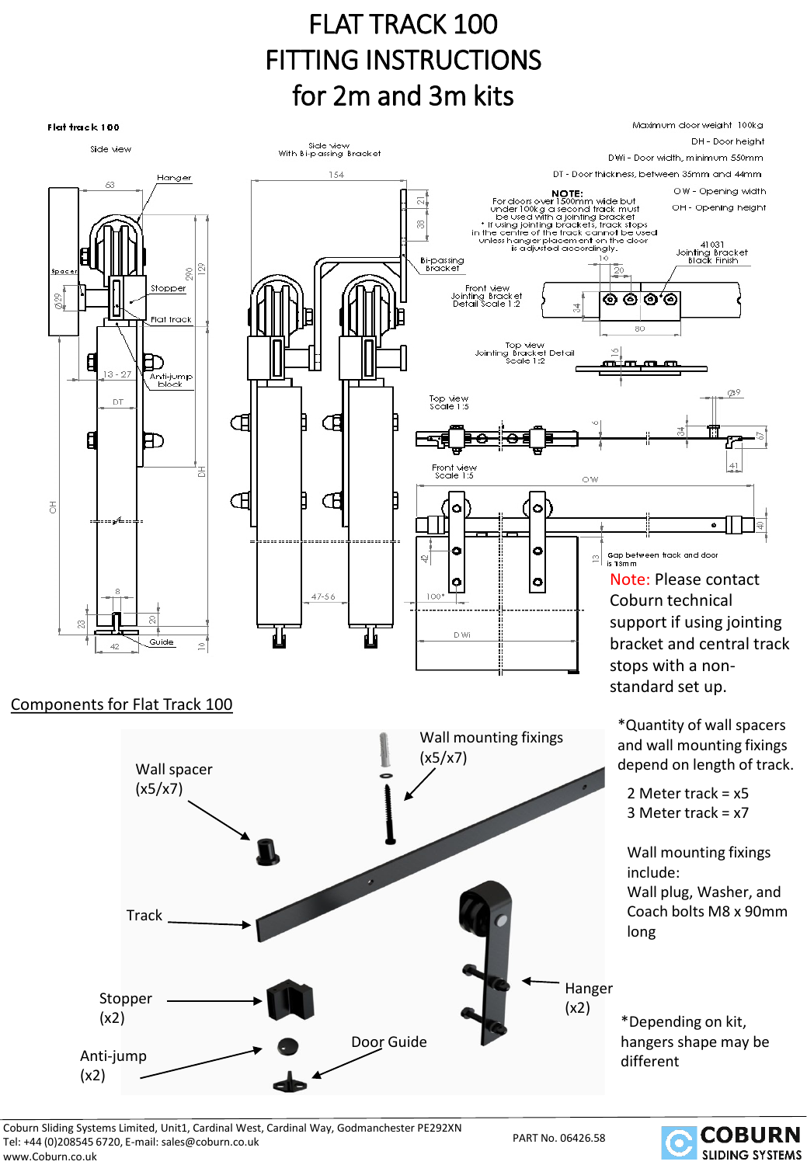### FLAT TRACK 100 FITTING INSTRUCTIONS for 2m and 3m kits



Coburn Sliding Systems Limited, Unit1, Cardinal West, Cardinal Way, Godmanchester PE292XN Tel: +44 (0)208545 6720, E-mail: sales@coburn.co.uk



www.Coburn.co.uk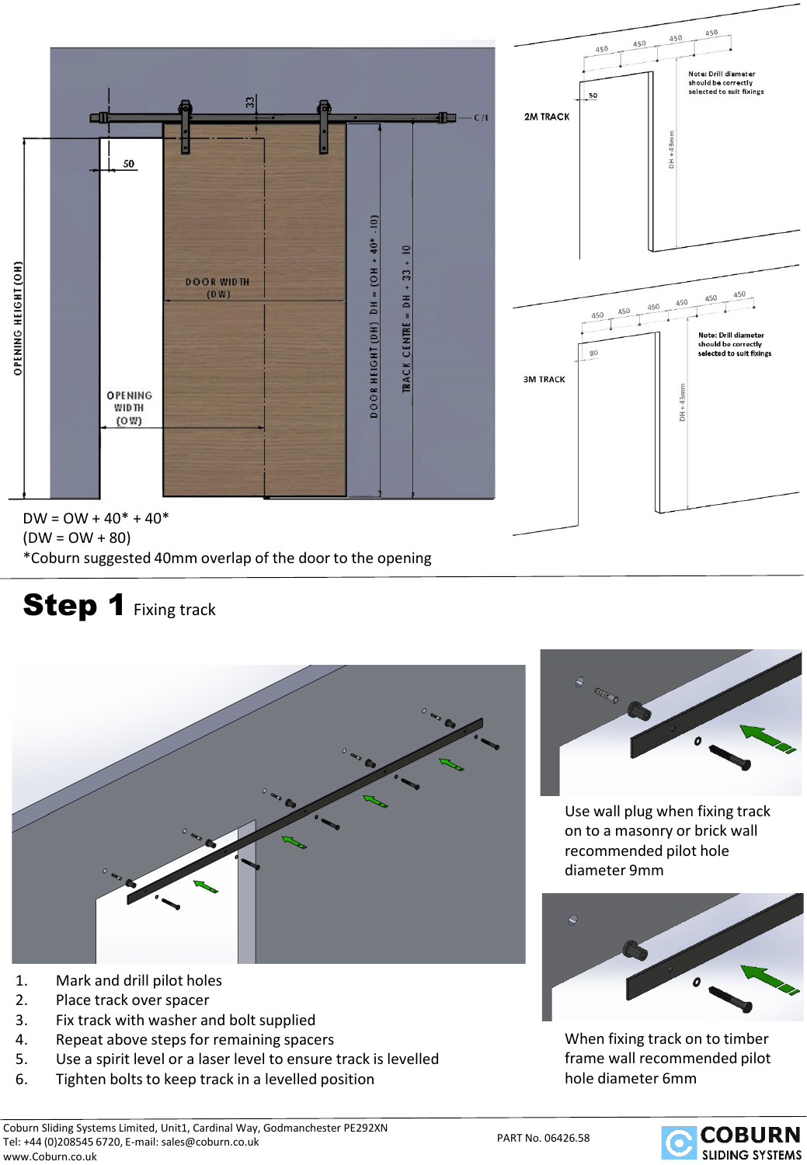

6. Tighten bolts to keep track in a levelled position

5. Use a spirit level or a laser level to ensure track is levelled

#### PART No. 06426.58





When fixing track on to timber frame wall recommended pilot hole diameter 6mm





# Step 1 Fixing track

1. Mark and drill pilot holes 2. Place track over spacer

3. Fix track with washer and bolt supplied 4. Repeat above steps for remaining spacers

 $DW = OW + 40* + 40*$  $(DW = OW + 80)$ \*Coburn suggested 40mm overlap of the door to the opening





450

450

450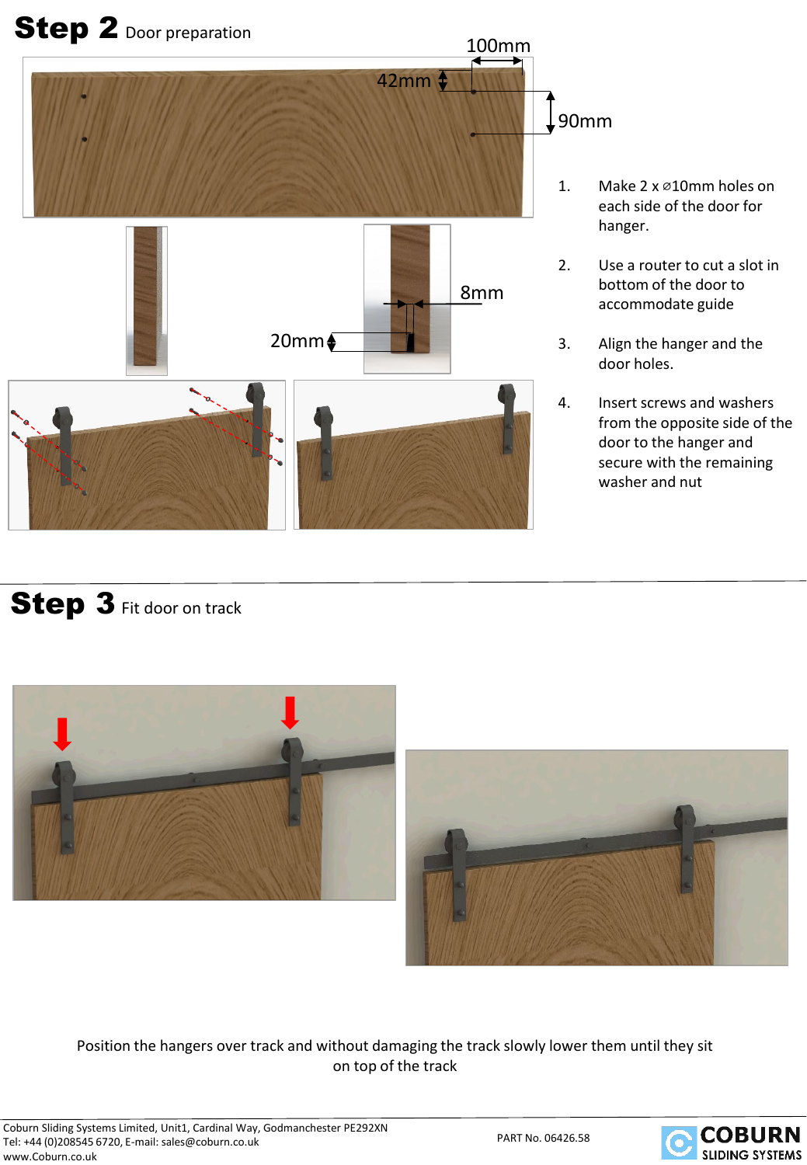

- 1. Make 2 x ø10mm holes on each side of the door for hanger.
- 2. Use a router to cut a slot in bottom of the door to accommodate guide
- 3. Align the hanger and the door holes.
- 4. Insert screws and washers from the opposite side of the door to the hanger and secure with the remaining washer and nut

#### Step 3 Fit door on track



Position the hangers over track and without damaging the track slowly lower them until they sit on top of the track

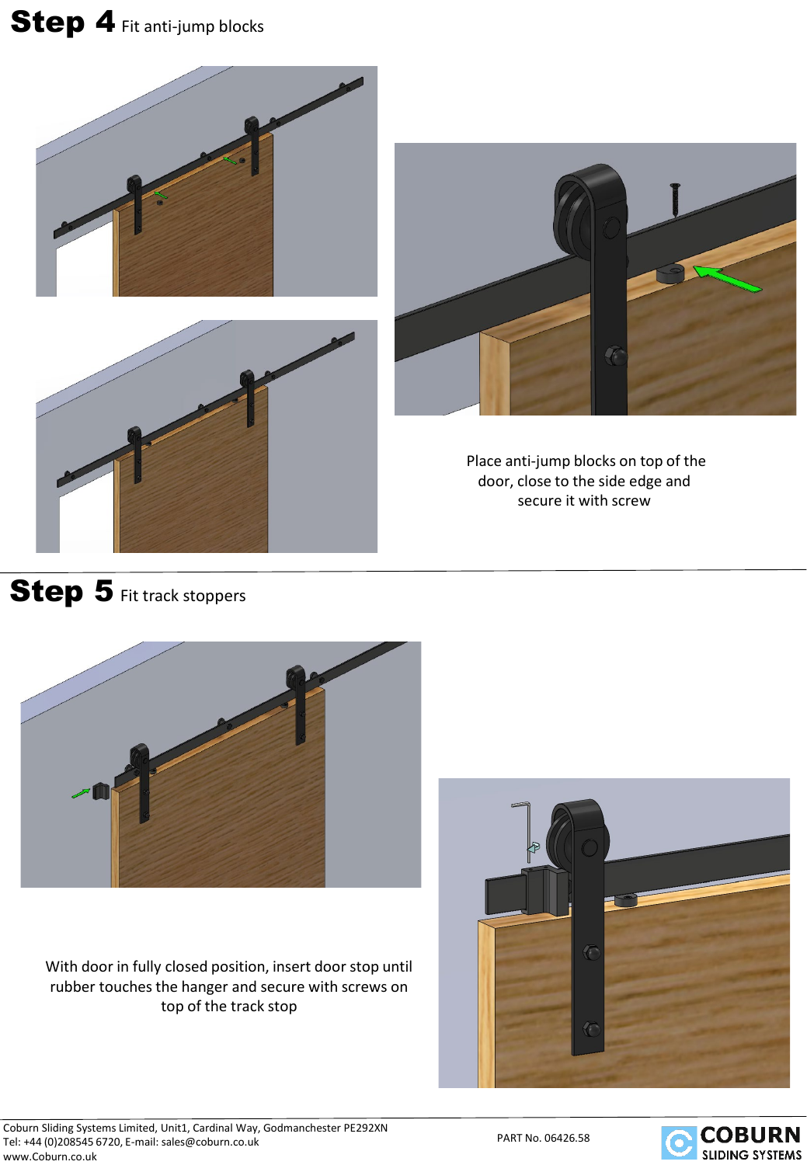# Step 4 Fit anti-jump blocks



#### Step 5 Fit track stoppers



With door in fully closed position, insert door stop until rubber touches the hanger and secure with screws on top of the track stop



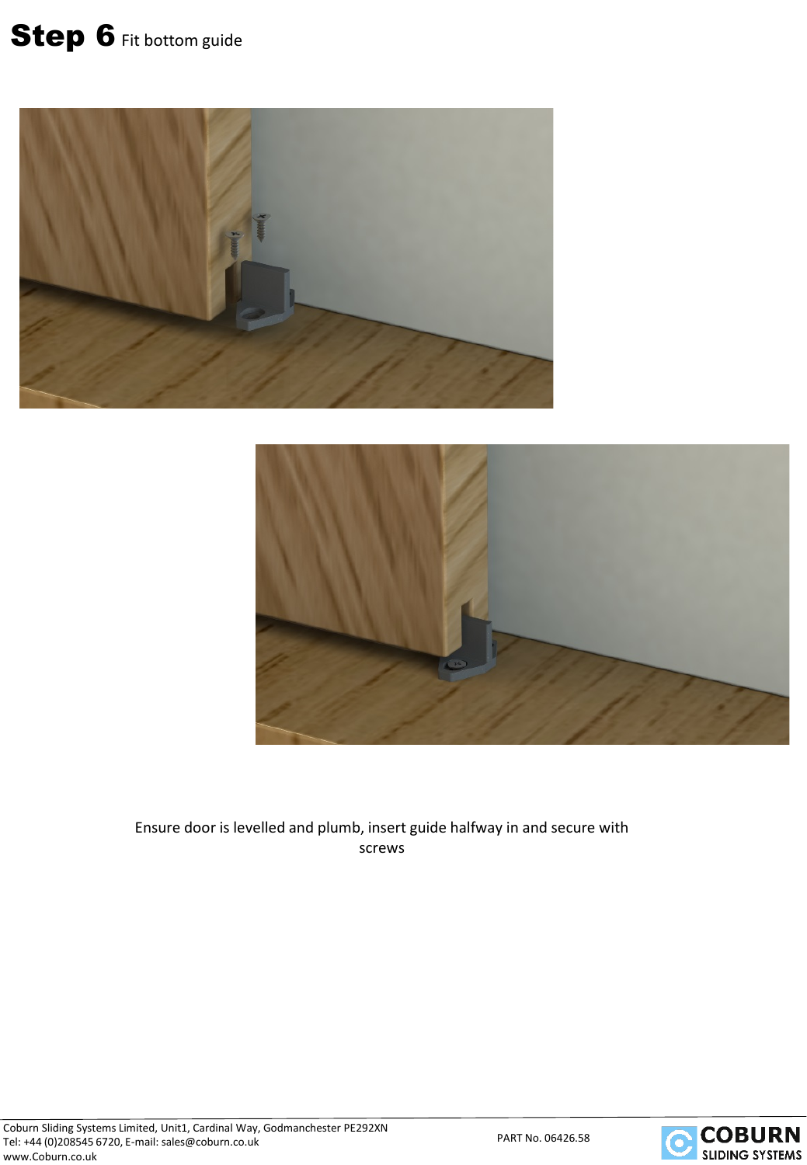# Step 6 Fit bottom guide





Ensure door is levelled and plumb, insert guide halfway in and secure with screws